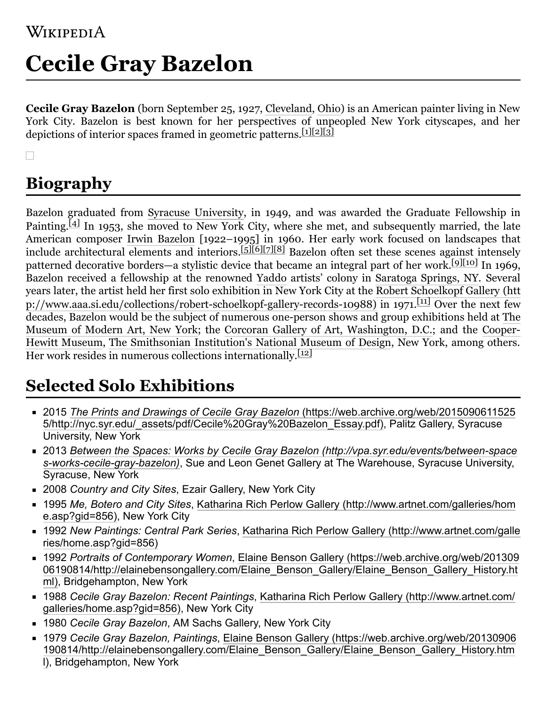# **Cecile Gray Bazelon**

**Cecile Gray Bazelon** (born September 25, 1927, [Cleveland](https://en.wikipedia.org/wiki/Cleveland), [Ohio](https://en.wikipedia.org/wiki/Ohio)) is an American painter living in New York City. Bazelon is best known for her perspectives of unpeopled New York cityscapes, and her depictions of interior spaces framed in geometric patterns.  $\frac{[1][2][3]}{[2]}$  $\frac{[1][2][3]}{[2]}$  $\frac{[1][2][3]}{[2]}$  $\frac{[1][2][3]}{[2]}$  $\frac{[1][2][3]}{[2]}$ 

 $\Box$ 

## **Biography**

Bazelon graduated from [Syracuse University,](https://en.wikipedia.org/wiki/Syracuse_University) in 1949, and was awarded the Graduate Fellowship in Painting.  $[4]$  In 1953, she moved to New York City, where she met, and subsequently married, the late American composer [Irwin Bazelon](https://en.wikipedia.org/wiki/Irwin_Bazelon) [1922–1995] in 1960. Her early work focused on landscapes that include architectural elements and interiors.<sup>[\[5\]](#page-3-4)[\[6\]](#page-3-5)[\[7\]](#page-3-6)[\[8\]](#page-3-7)</sup> Bazelon often set these scenes against intensely patterned decorative borders—a stylistic device that became an integral part of her work.<sup>[\[9\]](#page-3-8)[\[10\]](#page-3-9)</sup> In 1969, Bazelon received a fellowship at the renowned [Yaddo](https://en.wikipedia.org/wiki/Yaddo) artists' colony in [Saratoga Springs, NY.](https://en.wikipedia.org/wiki/Saratoga_Springs,_NY) Several [years later, the artist held her first solo exhibition in New York City at the Robert Schoelkopf Gallery](http://www.aaa.si.edu/collections/robert-schoelkopf-gallery-records-10988) (htt p://www.aaa.si.edu/collections/robert-schoelkopf-gallery-records-10988) in 1971.[\[11\]](#page-4-0) Over the next few [decades, Bazelon would be the subject of numerous one-person shows and group exhibitions held at The](https://en.wikipedia.org/wiki/The_Museum_of_Modern_Art) [Museum of Modern Art, New York; the C](https://en.wikipedia.org/wiki/Cooper-Hewitt_Museum)[orcoran Gallery of Art, Washington, D.C.](https://en.wikipedia.org/wiki/Corcoran_Gallery_of_Art)[; and the Cooper-](https://en.wikipedia.org/wiki/Cooper-Hewitt_Museum)Hewitt Museum, [The Smithsonian Institution's National Museum of Design,](https://en.wikipedia.org/wiki/The_Smithsonian) New York, among others. Her work resides in numerous collections internationally.<sup>[\[12\]](#page-4-1)</sup>

## **Selected Solo Exhibitions**

- 2015 *The Prints and Drawings of Cecile Gray Bazelon* (https://web.archive.org/web/2015090611525 [5/http://nyc.syr.edu/\\_assets/pdf/Cecile%20Gray%20Bazelon\\_Essay.pdf\), Palitz Gallery, Syracuse](https://web.archive.org/web/20150906115255/http://nyc.syr.edu/_assets/pdf/Cecile%20Gray%20Bazelon_Essay.pdf) University, New York
- 2013 *[Between the Spaces: Works by Cecile Gray Bazelon \(http://vpa.syr.edu/events/between-space](http://vpa.syr.edu/events/between-spaces-works-cecile-gray-bazelon) s-works-cecile-gray-bazelon)*, Sue and Leon Genet Gallery at The Warehouse, Syracuse University, Syracuse, New York
- 2008 *Country and City Sites*, Ezair Gallery, New York City
- 1995 *Me, Botero and City Sites*[, Katharina Rich Perlow Gallery \(http://www.artnet.com/galleries/hom](http://www.artnet.com/galleries/home.asp?gid=856) e.asp?gid=856), New York City
- 1992 *New Paintings: Central Park Series*[, Katharina Rich Perlow Gallery \(http://www.artnet.com/galle](http://www.artnet.com/galleries/home.asp?gid=856) ries/home.asp?gid=856)
- 1992 *Portraits of Contemporary Women*, Elaine Benson Gallery (https://web.archive.org/web/201309 [06190814/http://elainebensongallery.com/Elaine\\_Benson\\_Gallery/Elaine\\_Benson\\_Gallery\\_History.ht](https://web.archive.org/web/20130906190814/http://elainebensongallery.com/Elaine_Benson_Gallery/Elaine_Benson_Gallery_History.html) ml), Bridgehampton, New York
- 1988 *Cecile Gray Bazelon: Recent Paintings*[, Katharina Rich Perlow Gallery \(http://www.artnet.com/](http://www.artnet.com/galleries/home.asp?gid=856) galleries/home.asp?gid=856), New York City
- 1980 *Cecile Gray Bazelon*, AM Sachs Gallery, New York City
- 1979 *Cecile Gray Bazelon, Paintings*, Elaine Benson Gallery (https://web.archive.org/web/20130906 [190814/http://elainebensongallery.com/Elaine\\_Benson\\_Gallery/Elaine\\_Benson\\_Gallery\\_History.htm](https://web.archive.org/web/20130906190814/http://elainebensongallery.com/Elaine_Benson_Gallery/Elaine_Benson_Gallery_History.html) l), Bridgehampton, New York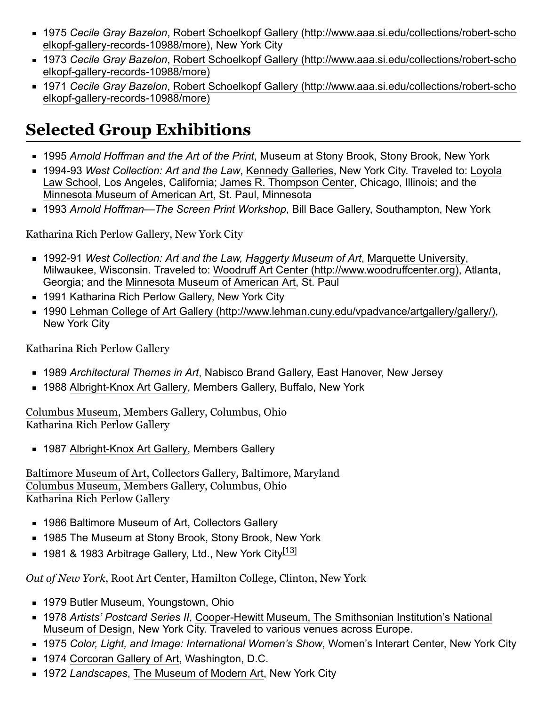- 1975 *Cecile Gray Bazelon*[, Robert Schoelkopf Gallery \(http://www.aaa.si.edu/collections/robert-scho](http://www.aaa.si.edu/collections/robert-schoelkopf-gallery-records-10988/more) elkopf-gallery-records-10988/more), New York City
- 1973 *Cecile Gray Bazelon*[, Robert Schoelkopf Gallery \(http://www.aaa.si.edu/collections/robert-scho](http://www.aaa.si.edu/collections/robert-schoelkopf-gallery-records-10988/more) elkopf-gallery-records-10988/more)
- 1971 *Cecile Gray Bazelon*[, Robert Schoelkopf Gallery \(http://www.aaa.si.edu/collections/robert-scho](http://www.aaa.si.edu/collections/robert-schoelkopf-gallery-records-10988/more) elkopf-gallery-records-10988/more)

## **Selected Group Exhibitions**

- 1995 *Arnold Hoffman and the Art of the Print*, Museum at Stony Brook, Stony Brook, New York
- 1994-93 West Collection: Art and the Law, [Kennedy Galleries](https://en.wikipedia.org/wiki/Kennedy_Galleries), New York City. Traveled to: Loyola [Law School, Los Angeles, California; James R. Thompson Center, Chicago, Illinois; and the](https://en.wikipedia.org/wiki/Loyola_Law_School) [Minnesota Museum of American Art,](https://en.wikipedia.org/wiki/Minnesota_Museum_of_American_Art) St. Paul, Minnesota
- 1993 *Arnold Hoffman—The Screen Print Workshop*, Bill Bace Gallery, Southampton, New York

Katharina Rich Perlow Gallery, New York City

- 1992-91 *West Collection: Art and the Law, Haggerty Museum of Art*, [Marquette University](https://en.wikipedia.org/wiki/Marquette_University), Milwaukee, Wisconsin. Traveled to: [Woodruff Art Center \(http://www.woodruffcenter.org\)](http://www.woodruffcenter.org/), Atlanta, Georgia; and the [Minnesota Museum of American Art,](https://en.wikipedia.org/wiki/Minnesota_Museum_of_American_Art) St. Paul
- 1991 Katharina Rich Perlow Gallery, New York City
- 1990 [Lehman College of Art Gallery \(http://www.lehman.cuny.edu/vpadvance/artgallery/gallery/\),](http://www.lehman.cuny.edu/vpadvance/artgallery/gallery/) New York City

Katharina Rich Perlow Gallery

- 1989 *Architectural Themes in Art*, Nabisco Brand Gallery, East Hanover, New Jersey
- 1988 [Albright-Knox Art Gallery](https://en.wikipedia.org/wiki/Albright-Knox_Art_Gallery), Members Gallery, Buffalo, New York

[Columbus Museum](https://en.wikipedia.org/wiki/Columbus_Museum), Members Gallery, Columbus, Ohio Katharina Rich Perlow Gallery

**1987 [Albright-Knox Art Gallery](https://en.wikipedia.org/wiki/Albright-Knox_Art_Gallery), Members Gallery** 

[Baltimore Museum of Art,](https://en.wikipedia.org/wiki/Baltimore_Museum_of_Art) Collectors Gallery, Baltimore, Maryland [Columbus Museum](https://en.wikipedia.org/wiki/Columbus_Museum), Members Gallery, Columbus, Ohio Katharina Rich Perlow Gallery

- 1986 Baltimore Museum of Art, Collectors Gallery
- 1985 The Museum at Stony Brook, Stony Brook, New York
- $\blacksquare$  1981 & 1983 Arbitrage Gallery, Ltd., New York City $^{[13]}$  $^{[13]}$  $^{[13]}$

*Out of New York*, Root Art Center, Hamilton College, Clinton, New York

- **1979 Butler Museum, Youngstown, Ohio**
- 1978 *Artists' Postcard Series II*, Cooper-Hewitt Museum, The Smithsonian Institution's National [Museum of Design, New York City. Traveled to various venues across Europe.](https://en.wikipedia.org/wiki/Cooper-Hewitt,_National_Design_Museum)
- 1975 *Color, Light, and Image: International Women's Show*, Women's Interart Center, New York City
- 1974 [Corcoran Gallery of Art,](https://en.wikipedia.org/wiki/Corcoran_Gallery_of_Art) Washington, D.C.
- 1972 *Landscapes*, [The Museum of Modern Art,](https://en.wikipedia.org/wiki/The_Museum_of_Modern_Art) New York City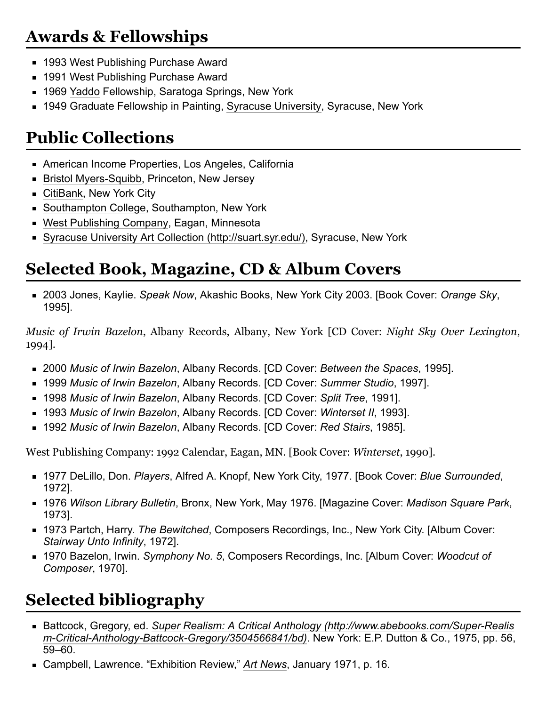#### **Awards & Fellowships**

- 1993 West Publishing Purchase Award
- 1991 West Publishing Purchase Award
- 1969 [Yaddo](https://en.wikipedia.org/wiki/Yaddo) Fellowship, Saratoga Springs, New York
- 1949 Graduate Fellowship in Painting, [Syracuse University,](https://en.wikipedia.org/wiki/Syracuse_University) Syracuse, New York

### **Public Collections**

- American Income Properties, Los Angeles, California
- [Bristol Myers-Squibb,](https://en.wikipedia.org/wiki/Bristol_Myers-Squibb) Princeton, New Jersey
- [CitiBank,](https://en.wikipedia.org/wiki/CitiBank) New York City
- [Southampton College](https://en.wikipedia.org/wiki/Southampton_College), Southampton, New York
- [West Publishing Company,](https://en.wikipedia.org/wiki/West_Publishing_Company) Eagan, Minnesota
- [Syracuse University Art Collection \(http://suart.syr.edu/\),](http://suart.syr.edu/) Syracuse, New York

#### **Selected Book, Magazine, CD & Album Covers**

2003 Jones, Kaylie. *Speak Now*, Akashic Books, New York City 2003. [Book Cover: *Orange Sky*, 1995].

*Music of Irwin Bazelon*, Albany Records, Albany, New York [CD Cover: *Night Sky Over Lexington*, 1994].

- 2000 *Music of Irwin Bazelon*, Albany Records. [CD Cover: *Between the Spaces*, 1995].
- 1999 *Music of Irwin Bazelon*, Albany Records. [CD Cover: *Summer Studio*, 1997].
- 1998 *Music of Irwin Bazelon*, Albany Records. [CD Cover: *Split Tree*, 1991].
- 1993 *Music of Irwin Bazelon*, Albany Records. [CD Cover: *Winterset II*, 1993].
- 1992 *Music of Irwin Bazelon*, Albany Records. [CD Cover: *Red Stairs*, 1985].

West Publishing Company: 1992 Calendar, Eagan, MN. [Book Cover: *Winterset*, 1990].

- 1977 DeLillo, Don. *Players*, Alfred A. Knopf, New York City, 1977. [Book Cover: *Blue Surrounded*, 1972].
- 1976 *Wilson Library Bulletin*, Bronx, New York, May 1976. [Magazine Cover: *Madison Square Park*, 1973].
- 1973 Partch, Harry. *The Bewitched*, Composers Recordings, Inc., New York City. [Album Cover: *Stairway Unto Infinity*, 1972].
- 1970 Bazelon, Irwin. *Symphony No. 5*, Composers Recordings, Inc. [Album Cover: *Woodcut of Composer*, 1970].

## **Selected bibliography**

- Battcock, Gregory, ed. *[Super Realism: A Critical Anthology \(http://www.abebooks.com/Super-Realis](http://www.abebooks.com/Super-Realism-Critical-Anthology-Battcock-Gregory/3504566841/bd) m-Critical-Anthology-Battcock-Gregory/3504566841/bd)*. New York: E.P. Dutton & Co., 1975, pp. 56, 59–60.
- Campbell, Lawrence. "Exhibition Review," *[Art News](https://en.wikipedia.org/wiki/Art_News)*, January 1971, p. 16.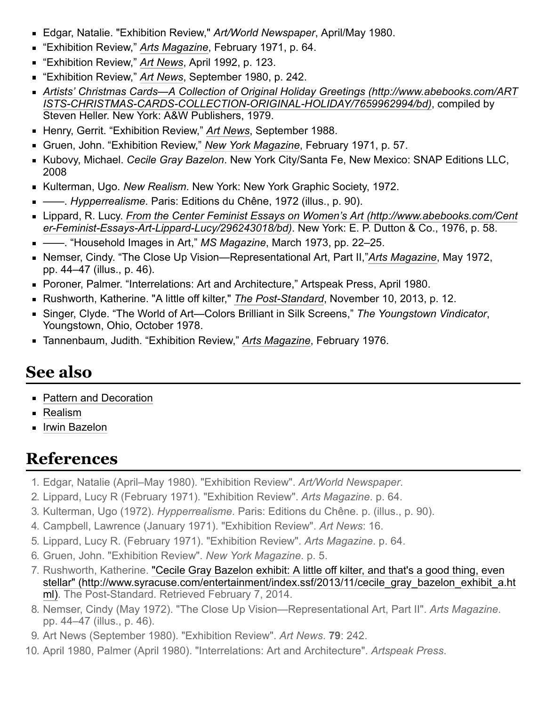- Edgar, Natalie. "Exhibition Review," *Art/World Newspaper*, April/May 1980.
- "Exhibition Review," *[Arts Magazine](https://en.wikipedia.org/wiki/Arts_Magazine)*, February 1971, p. 64.
- "Exhibition Review," *[Art News](https://en.wikipedia.org/wiki/Art_News)*, April 1992, p. 123.
- "Exhibition Review," *[Art News](https://en.wikipedia.org/wiki/Art_News)*, September 1980, p. 242.
- *[Artists' Christmas Cards—A Collection of Original Holiday Greetings \(http://www.abebooks.com/ART](http://www.abebooks.com/ARTISTS-CHRISTMAS-CARDS-COLLECTION-ORIGINAL-HOLIDAY/7659962994/bd) ISTS-CHRISTMAS-CARDS-COLLECTION-ORIGINAL-HOLIDAY/7659962994/bd)*, compiled by Steven Heller. New York: A&W Publishers, 1979.
- Henry, Gerrit. "Exhibition Review," *[Art News](https://en.wikipedia.org/wiki/Art_News)*, September 1988.
- Gruen, John. "Exhibition Review," *[New York Magazine](https://en.wikipedia.org/wiki/New_York_Magazine)*, February 1971, p. 57.
- Kubovy, Michael. *Cecile Gray Bazelon*. New York City/Santa Fe, New Mexico: SNAP Editions LLC, 2008
- Kulterman, Ugo. *New Realism*. New York: New York Graphic Society, 1972.
- ——. *Hypperrealisme*. Paris: Editions du Chêne, 1972 (illus., p. 90).
- Lippard, R. Lucy. *[From the Center Feminist Essays on Women's Art \(http://www.abebooks.com/Cent](http://www.abebooks.com/Center-Feminist-Essays-Art-Lippard-Lucy/296243018/bd) er-Feminist-Essays-Art-Lippard-Lucy/296243018/bd)*. New York: E. P. Dutton & Co., 1976, p. 58.
- ——. "Household Images in Art," *MS Magazine*, March 1973, pp. 22–25.
- Nemser, Cindy. "The Close Up Vision—Representational Art, Part II,"[Arts Magazine](https://en.wikipedia.org/wiki/Arts_Magazine), May 1972, pp. 44–47 (illus., p. 46).
- Poroner, Palmer. "Interrelations: Art and Architecture," Artspeak Press, April 1980.
- Rushworth, Katherine. "A little off kilter," *[The Post-Standard](https://en.wikipedia.org/wiki/The_Post-Standard)*, November 10, 2013, p. 12.
- Singer, Clyde. "The World of Art—Colors Brilliant in Silk Screens," *The Youngstown Vindicator*, Youngstown, Ohio, October 1978.
- Tannenbaum, Judith. "Exhibition Review," *[Arts Magazine](https://en.wikipedia.org/wiki/Arts_Magazine)*, February 1976.

#### **See also**

- **[Pattern and Decoration](https://en.wikipedia.org/wiki/Pattern_and_Decoration)**
- $\blacksquare$  [Realism](https://en.wikipedia.org/wiki/Realism_(arts))
- **[Irwin Bazelon](https://en.wikipedia.org/wiki/Irwin_Bazelon)**

#### **References**

- <span id="page-3-0"></span>1. Edgar, Natalie (April–May 1980). "Exhibition Review". *Art/World Newspaper*.
- <span id="page-3-1"></span>2. Lippard, Lucy R (February 1971). "Exhibition Review". *Arts Magazine*. p. 64.
- <span id="page-3-2"></span>3. Kulterman, Ugo (1972). *Hypperrealisme*. Paris: Editions du Chêne. p. (illus., p. 90).
- <span id="page-3-3"></span>4. Campbell, Lawrence (January 1971). "Exhibition Review". *Art News*: 16.
- <span id="page-3-4"></span>5. Lippard, Lucy R. (February 1971). "Exhibition Review". *Arts Magazine*. p. 64.
- <span id="page-3-5"></span>6. Gruen, John. "Exhibition Review". *New York Magazine*. p. 5.
- <span id="page-3-6"></span>7. Rushworth, Katherine. "Cecile Gray Bazelon exhibit: A little off kilter, and that's a good thing, even [stellar" \(http://www.syracuse.com/entertainment/index.ssf/2013/11/cecile\\_gray\\_bazelon\\_exhibit\\_a.ht](http://www.syracuse.com/entertainment/index.ssf/2013/11/cecile_gray_bazelon_exhibit_a.html) ml). The Post-Standard. Retrieved February 7, 2014.
- <span id="page-3-7"></span>8. Nemser, Cindy (May 1972). "The Close Up Vision—Representational Art, Part II". *Arts Magazine*. pp. 44–47 (illus., p. 46).
- <span id="page-3-8"></span>9. Art News (September 1980). "Exhibition Review". *Art News*. **79**: 242.
- <span id="page-3-9"></span>10. April 1980, Palmer (April 1980). "Interrelations: Art and Architecture". *Artspeak Press*.